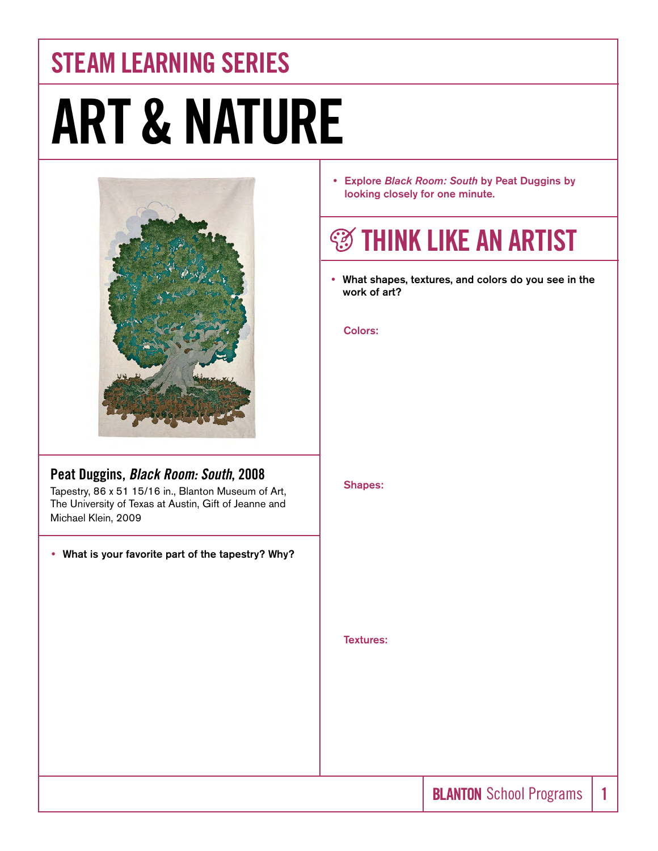## STEAM LEARNING SERIES ART & NATURE



#### Peat Duggins, *Black Room: South*, 2008

Tapestry, 86 x 51 15/16 in., Blanton Museum of Art, The University of Texas at Austin, Gift of Jeanne and Michael Klein, 2009

• What is your favorite part of the tapestry? Why?

y Explore *Black Room: South* by Peat Duggins by looking closely for one minute.

### **<b>S** THINK LIKE AN ARTIST

• What shapes, textures, and colors do you see in the work of art?

#### Colors:

Shapes:

Textures: